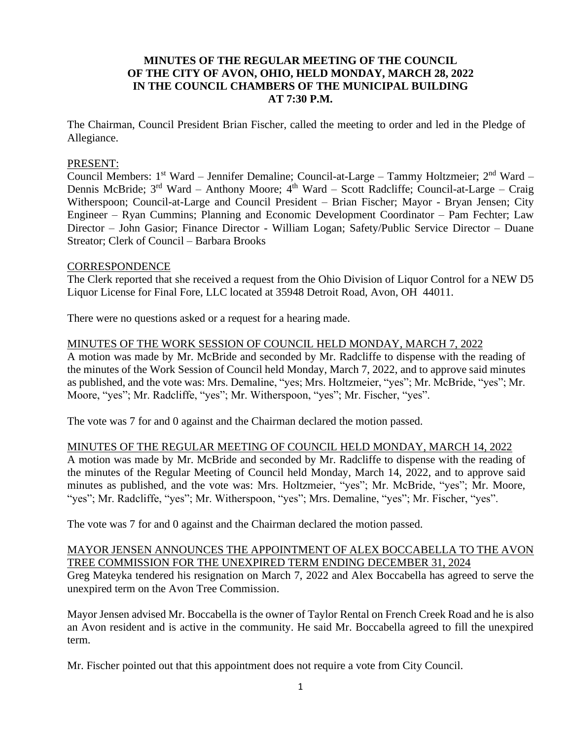# **MINUTES OF THE REGULAR MEETING OF THE COUNCIL OF THE CITY OF AVON, OHIO, HELD MONDAY, MARCH 28, 2022 IN THE COUNCIL CHAMBERS OF THE MUNICIPAL BUILDING AT 7:30 P.M.**

The Chairman, Council President Brian Fischer, called the meeting to order and led in the Pledge of Allegiance.

### PRESENT:

Council Members: 1<sup>st</sup> Ward – Jennifer Demaline; Council-at-Large – Tammy Holtzmeier; 2<sup>nd</sup> Ward – Dennis McBride; 3<sup>rd</sup> Ward – Anthony Moore; 4<sup>th</sup> Ward – Scott Radcliffe; Council-at-Large – Craig Witherspoon; Council-at-Large and Council President – Brian Fischer; Mayor - Bryan Jensen; City Engineer – Ryan Cummins; Planning and Economic Development Coordinator – Pam Fechter; Law Director – John Gasior; Finance Director - William Logan; Safety/Public Service Director – Duane Streator; Clerk of Council – Barbara Brooks

#### **CORRESPONDENCE**

The Clerk reported that she received a request from the Ohio Division of Liquor Control for a NEW D5 Liquor License for Final Fore, LLC located at 35948 Detroit Road, Avon, OH 44011.

There were no questions asked or a request for a hearing made.

### MINUTES OF THE WORK SESSION OF COUNCIL HELD MONDAY, MARCH 7, 2022

A motion was made by Mr. McBride and seconded by Mr. Radcliffe to dispense with the reading of the minutes of the Work Session of Council held Monday, March 7, 2022, and to approve said minutes as published, and the vote was: Mrs. Demaline, "yes; Mrs. Holtzmeier, "yes"; Mr. McBride, "yes"; Mr. Moore, "yes"; Mr. Radcliffe, "yes"; Mr. Witherspoon, "yes"; Mr. Fischer, "yes".

The vote was 7 for and 0 against and the Chairman declared the motion passed.

#### MINUTES OF THE REGULAR MEETING OF COUNCIL HELD MONDAY, MARCH 14, 2022

A motion was made by Mr. McBride and seconded by Mr. Radcliffe to dispense with the reading of the minutes of the Regular Meeting of Council held Monday, March 14, 2022, and to approve said minutes as published, and the vote was: Mrs. Holtzmeier, "yes"; Mr. McBride, "yes"; Mr. Moore, "yes"; Mr. Radcliffe, "yes"; Mr. Witherspoon, "yes"; Mrs. Demaline, "yes"; Mr. Fischer, "yes".

The vote was 7 for and 0 against and the Chairman declared the motion passed.

### MAYOR JENSEN ANNOUNCES THE APPOINTMENT OF ALEX BOCCABELLA TO THE AVON TREE COMMISSION FOR THE UNEXPIRED TERM ENDING DECEMBER 31, 2024

Greg Mateyka tendered his resignation on March 7, 2022 and Alex Boccabella has agreed to serve the unexpired term on the Avon Tree Commission.

Mayor Jensen advised Mr. Boccabella is the owner of Taylor Rental on French Creek Road and he is also an Avon resident and is active in the community. He said Mr. Boccabella agreed to fill the unexpired term.

Mr. Fischer pointed out that this appointment does not require a vote from City Council.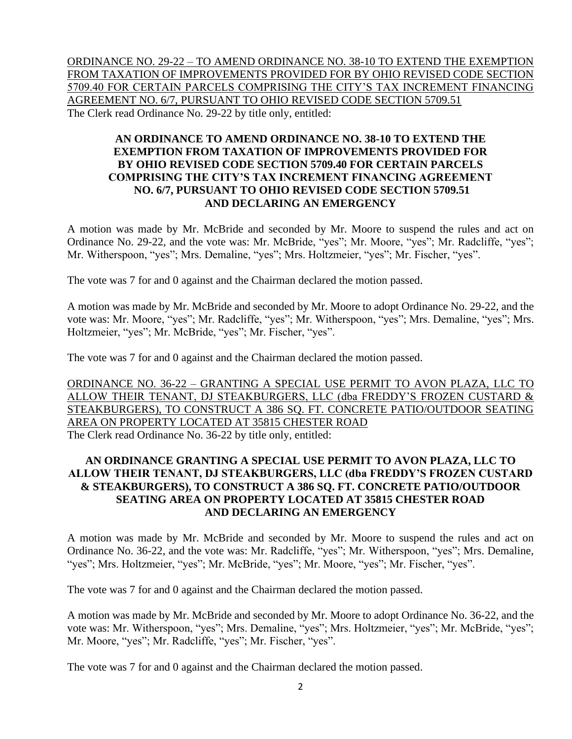ORDINANCE NO. 29-22 – TO AMEND ORDINANCE NO. 38-10 TO EXTEND THE EXEMPTION FROM TAXATION OF IMPROVEMENTS PROVIDED FOR BY OHIO REVISED CODE SECTION 5709.40 FOR CERTAIN PARCELS COMPRISING THE CITY'S TAX INCREMENT FINANCING AGREEMENT NO. 6/7, PURSUANT TO OHIO REVISED CODE SECTION 5709.51 The Clerk read Ordinance No. 29-22 by title only, entitled:

# **AN ORDINANCE TO AMEND ORDINANCE NO. 38-10 TO EXTEND THE EXEMPTION FROM TAXATION OF IMPROVEMENTS PROVIDED FOR BY OHIO REVISED CODE SECTION 5709.40 FOR CERTAIN PARCELS COMPRISING THE CITY'S TAX INCREMENT FINANCING AGREEMENT NO. 6/7, PURSUANT TO OHIO REVISED CODE SECTION 5709.51 AND DECLARING AN EMERGENCY**

A motion was made by Mr. McBride and seconded by Mr. Moore to suspend the rules and act on Ordinance No. 29-22, and the vote was: Mr. McBride, "yes"; Mr. Moore, "yes"; Mr. Radcliffe, "yes"; Mr. Witherspoon, "yes"; Mrs. Demaline, "yes"; Mrs. Holtzmeier, "yes"; Mr. Fischer, "yes".

The vote was 7 for and 0 against and the Chairman declared the motion passed.

A motion was made by Mr. McBride and seconded by Mr. Moore to adopt Ordinance No. 29-22, and the vote was: Mr. Moore, "yes"; Mr. Radcliffe, "yes"; Mr. Witherspoon, "yes"; Mrs. Demaline, "yes"; Mrs. Holtzmeier, "yes"; Mr. McBride, "yes"; Mr. Fischer, "yes".

The vote was 7 for and 0 against and the Chairman declared the motion passed.

ORDINANCE NO. 36-22 – GRANTING A SPECIAL USE PERMIT TO AVON PLAZA, LLC TO ALLOW THEIR TENANT, DJ STEAKBURGERS, LLC (dba FREDDY'S FROZEN CUSTARD & STEAKBURGERS), TO CONSTRUCT A 386 SQ. FT. CONCRETE PATIO/OUTDOOR SEATING AREA ON PROPERTY LOCATED AT 35815 CHESTER ROAD The Clerk read Ordinance No. 36-22 by title only, entitled:

### **AN ORDINANCE GRANTING A SPECIAL USE PERMIT TO AVON PLAZA, LLC TO ALLOW THEIR TENANT, DJ STEAKBURGERS, LLC (dba FREDDY'S FROZEN CUSTARD & STEAKBURGERS), TO CONSTRUCT A 386 SQ. FT. CONCRETE PATIO/OUTDOOR SEATING AREA ON PROPERTY LOCATED AT 35815 CHESTER ROAD AND DECLARING AN EMERGENCY**

A motion was made by Mr. McBride and seconded by Mr. Moore to suspend the rules and act on Ordinance No. 36-22, and the vote was: Mr. Radcliffe, "yes"; Mr. Witherspoon, "yes"; Mrs. Demaline, "yes"; Mrs. Holtzmeier, "yes"; Mr. McBride, "yes"; Mr. Moore, "yes"; Mr. Fischer, "yes".

The vote was 7 for and 0 against and the Chairman declared the motion passed.

A motion was made by Mr. McBride and seconded by Mr. Moore to adopt Ordinance No. 36-22, and the vote was: Mr. Witherspoon, "yes"; Mrs. Demaline, "yes"; Mrs. Holtzmeier, "yes"; Mr. McBride, "yes"; Mr. Moore, "yes"; Mr. Radcliffe, "yes"; Mr. Fischer, "yes".

The vote was 7 for and 0 against and the Chairman declared the motion passed.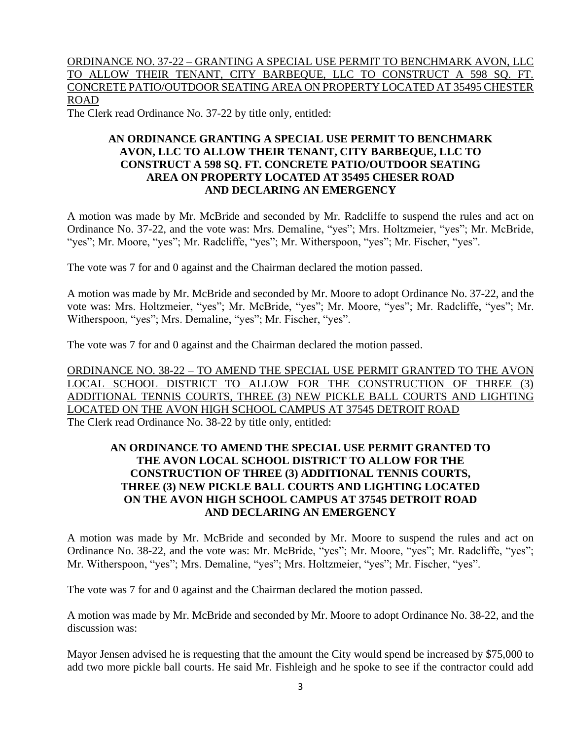# ORDINANCE NO. 37-22 – GRANTING A SPECIAL USE PERMIT TO BENCHMARK AVON, LLC TO ALLOW THEIR TENANT, CITY BARBEQUE, LLC TO CONSTRUCT A 598 SQ. FT. CONCRETE PATIO/OUTDOOR SEATING AREA ON PROPERTY LOCATED AT 35495 CHESTER ROAD

The Clerk read Ordinance No. 37-22 by title only, entitled:

## **AN ORDINANCE GRANTING A SPECIAL USE PERMIT TO BENCHMARK AVON, LLC TO ALLOW THEIR TENANT, CITY BARBEQUE, LLC TO CONSTRUCT A 598 SQ. FT. CONCRETE PATIO/OUTDOOR SEATING AREA ON PROPERTY LOCATED AT 35495 CHESER ROAD AND DECLARING AN EMERGENCY**

A motion was made by Mr. McBride and seconded by Mr. Radcliffe to suspend the rules and act on Ordinance No. 37-22, and the vote was: Mrs. Demaline, "yes"; Mrs. Holtzmeier, "yes"; Mr. McBride, "yes"; Mr. Moore, "yes"; Mr. Radcliffe, "yes"; Mr. Witherspoon, "yes"; Mr. Fischer, "yes".

The vote was 7 for and 0 against and the Chairman declared the motion passed.

A motion was made by Mr. McBride and seconded by Mr. Moore to adopt Ordinance No. 37-22, and the vote was: Mrs. Holtzmeier, "yes"; Mr. McBride, "yes"; Mr. Moore, "yes"; Mr. Radcliffe, "yes"; Mr. Witherspoon, "yes"; Mrs. Demaline, "yes"; Mr. Fischer, "yes".

The vote was 7 for and 0 against and the Chairman declared the motion passed.

ORDINANCE NO. 38-22 – TO AMEND THE SPECIAL USE PERMIT GRANTED TO THE AVON LOCAL SCHOOL DISTRICT TO ALLOW FOR THE CONSTRUCTION OF THREE (3) ADDITIONAL TENNIS COURTS, THREE (3) NEW PICKLE BALL COURTS AND LIGHTING LOCATED ON THE AVON HIGH SCHOOL CAMPUS AT 37545 DETROIT ROAD The Clerk read Ordinance No. 38-22 by title only, entitled:

# **AN ORDINANCE TO AMEND THE SPECIAL USE PERMIT GRANTED TO THE AVON LOCAL SCHOOL DISTRICT TO ALLOW FOR THE CONSTRUCTION OF THREE (3) ADDITIONAL TENNIS COURTS, THREE (3) NEW PICKLE BALL COURTS AND LIGHTING LOCATED ON THE AVON HIGH SCHOOL CAMPUS AT 37545 DETROIT ROAD AND DECLARING AN EMERGENCY**

A motion was made by Mr. McBride and seconded by Mr. Moore to suspend the rules and act on Ordinance No. 38-22, and the vote was: Mr. McBride, "yes"; Mr. Moore, "yes"; Mr. Radcliffe, "yes"; Mr. Witherspoon, "yes"; Mrs. Demaline, "yes"; Mrs. Holtzmeier, "yes"; Mr. Fischer, "yes".

The vote was 7 for and 0 against and the Chairman declared the motion passed.

A motion was made by Mr. McBride and seconded by Mr. Moore to adopt Ordinance No. 38-22, and the discussion was:

Mayor Jensen advised he is requesting that the amount the City would spend be increased by \$75,000 to add two more pickle ball courts. He said Mr. Fishleigh and he spoke to see if the contractor could add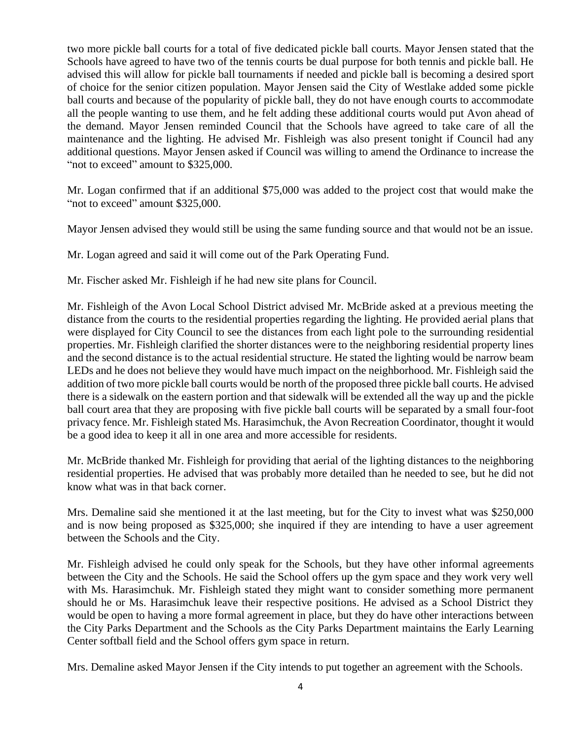two more pickle ball courts for a total of five dedicated pickle ball courts. Mayor Jensen stated that the Schools have agreed to have two of the tennis courts be dual purpose for both tennis and pickle ball. He advised this will allow for pickle ball tournaments if needed and pickle ball is becoming a desired sport of choice for the senior citizen population. Mayor Jensen said the City of Westlake added some pickle ball courts and because of the popularity of pickle ball, they do not have enough courts to accommodate all the people wanting to use them, and he felt adding these additional courts would put Avon ahead of the demand. Mayor Jensen reminded Council that the Schools have agreed to take care of all the maintenance and the lighting. He advised Mr. Fishleigh was also present tonight if Council had any additional questions. Mayor Jensen asked if Council was willing to amend the Ordinance to increase the "not to exceed" amount to \$325,000.

Mr. Logan confirmed that if an additional \$75,000 was added to the project cost that would make the "not to exceed" amount \$325,000.

Mayor Jensen advised they would still be using the same funding source and that would not be an issue.

Mr. Logan agreed and said it will come out of the Park Operating Fund.

Mr. Fischer asked Mr. Fishleigh if he had new site plans for Council.

Mr. Fishleigh of the Avon Local School District advised Mr. McBride asked at a previous meeting the distance from the courts to the residential properties regarding the lighting. He provided aerial plans that were displayed for City Council to see the distances from each light pole to the surrounding residential properties. Mr. Fishleigh clarified the shorter distances were to the neighboring residential property lines and the second distance is to the actual residential structure. He stated the lighting would be narrow beam LEDs and he does not believe they would have much impact on the neighborhood. Mr. Fishleigh said the addition of two more pickle ball courts would be north of the proposed three pickle ball courts. He advised there is a sidewalk on the eastern portion and that sidewalk will be extended all the way up and the pickle ball court area that they are proposing with five pickle ball courts will be separated by a small four-foot privacy fence. Mr. Fishleigh stated Ms. Harasimchuk, the Avon Recreation Coordinator, thought it would be a good idea to keep it all in one area and more accessible for residents.

Mr. McBride thanked Mr. Fishleigh for providing that aerial of the lighting distances to the neighboring residential properties. He advised that was probably more detailed than he needed to see, but he did not know what was in that back corner.

Mrs. Demaline said she mentioned it at the last meeting, but for the City to invest what was \$250,000 and is now being proposed as \$325,000; she inquired if they are intending to have a user agreement between the Schools and the City.

Mr. Fishleigh advised he could only speak for the Schools, but they have other informal agreements between the City and the Schools. He said the School offers up the gym space and they work very well with Ms. Harasimchuk. Mr. Fishleigh stated they might want to consider something more permanent should he or Ms. Harasimchuk leave their respective positions. He advised as a School District they would be open to having a more formal agreement in place, but they do have other interactions between the City Parks Department and the Schools as the City Parks Department maintains the Early Learning Center softball field and the School offers gym space in return.

Mrs. Demaline asked Mayor Jensen if the City intends to put together an agreement with the Schools.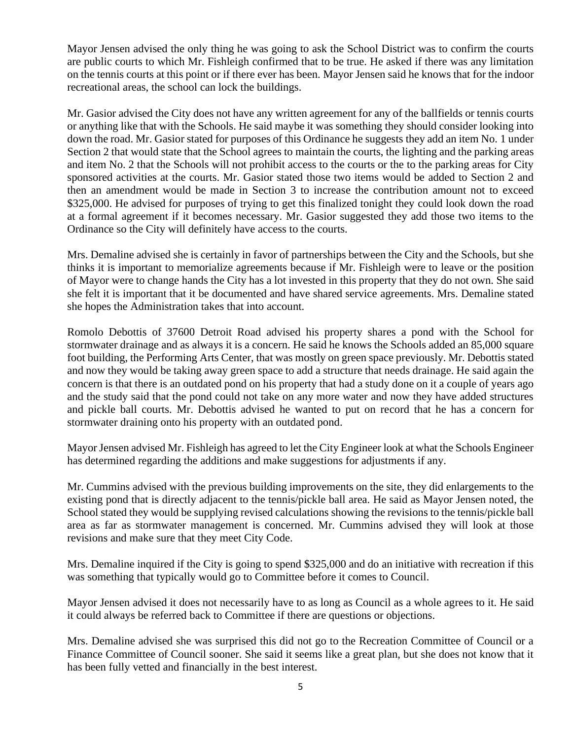Mayor Jensen advised the only thing he was going to ask the School District was to confirm the courts are public courts to which Mr. Fishleigh confirmed that to be true. He asked if there was any limitation on the tennis courts at this point or if there ever has been. Mayor Jensen said he knows that for the indoor recreational areas, the school can lock the buildings.

Mr. Gasior advised the City does not have any written agreement for any of the ballfields or tennis courts or anything like that with the Schools. He said maybe it was something they should consider looking into down the road. Mr. Gasior stated for purposes of this Ordinance he suggests they add an item No. 1 under Section 2 that would state that the School agrees to maintain the courts, the lighting and the parking areas and item No. 2 that the Schools will not prohibit access to the courts or the to the parking areas for City sponsored activities at the courts. Mr. Gasior stated those two items would be added to Section 2 and then an amendment would be made in Section 3 to increase the contribution amount not to exceed \$325,000. He advised for purposes of trying to get this finalized tonight they could look down the road at a formal agreement if it becomes necessary. Mr. Gasior suggested they add those two items to the Ordinance so the City will definitely have access to the courts.

Mrs. Demaline advised she is certainly in favor of partnerships between the City and the Schools, but she thinks it is important to memorialize agreements because if Mr. Fishleigh were to leave or the position of Mayor were to change hands the City has a lot invested in this property that they do not own. She said she felt it is important that it be documented and have shared service agreements. Mrs. Demaline stated she hopes the Administration takes that into account.

Romolo Debottis of 37600 Detroit Road advised his property shares a pond with the School for stormwater drainage and as always it is a concern. He said he knows the Schools added an 85,000 square foot building, the Performing Arts Center, that was mostly on green space previously. Mr. Debottis stated and now they would be taking away green space to add a structure that needs drainage. He said again the concern is that there is an outdated pond on his property that had a study done on it a couple of years ago and the study said that the pond could not take on any more water and now they have added structures and pickle ball courts. Mr. Debottis advised he wanted to put on record that he has a concern for stormwater draining onto his property with an outdated pond.

Mayor Jensen advised Mr. Fishleigh has agreed to let the City Engineer look at what the Schools Engineer has determined regarding the additions and make suggestions for adjustments if any.

Mr. Cummins advised with the previous building improvements on the site, they did enlargements to the existing pond that is directly adjacent to the tennis/pickle ball area. He said as Mayor Jensen noted, the School stated they would be supplying revised calculations showing the revisions to the tennis/pickle ball area as far as stormwater management is concerned. Mr. Cummins advised they will look at those revisions and make sure that they meet City Code.

Mrs. Demaline inquired if the City is going to spend \$325,000 and do an initiative with recreation if this was something that typically would go to Committee before it comes to Council.

Mayor Jensen advised it does not necessarily have to as long as Council as a whole agrees to it. He said it could always be referred back to Committee if there are questions or objections.

Mrs. Demaline advised she was surprised this did not go to the Recreation Committee of Council or a Finance Committee of Council sooner. She said it seems like a great plan, but she does not know that it has been fully vetted and financially in the best interest.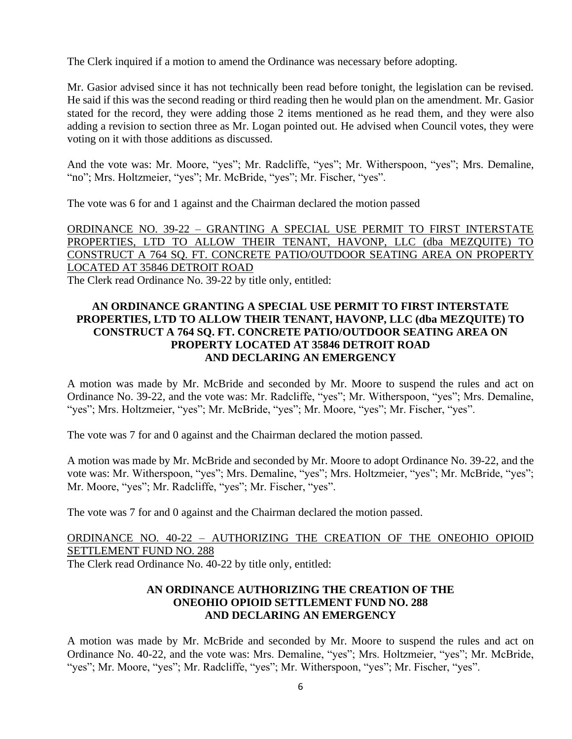The Clerk inquired if a motion to amend the Ordinance was necessary before adopting.

Mr. Gasior advised since it has not technically been read before tonight, the legislation can be revised. He said if this was the second reading or third reading then he would plan on the amendment. Mr. Gasior stated for the record, they were adding those 2 items mentioned as he read them, and they were also adding a revision to section three as Mr. Logan pointed out. He advised when Council votes, they were voting on it with those additions as discussed.

And the vote was: Mr. Moore, "yes"; Mr. Radcliffe, "yes"; Mr. Witherspoon, "yes"; Mrs. Demaline, "no"; Mrs. Holtzmeier, "yes"; Mr. McBride, "yes"; Mr. Fischer, "yes".

The vote was 6 for and 1 against and the Chairman declared the motion passed

ORDINANCE NO. 39-22 – GRANTING A SPECIAL USE PERMIT TO FIRST INTERSTATE PROPERTIES, LTD TO ALLOW THEIR TENANT, HAVONP, LLC (dba MEZQUITE) TO CONSTRUCT A 764 SQ. FT. CONCRETE PATIO/OUTDOOR SEATING AREA ON PROPERTY LOCATED AT 35846 DETROIT ROAD The Clerk read Ordinance No. 39-22 by title only, entitled:

## **AN ORDINANCE GRANTING A SPECIAL USE PERMIT TO FIRST INTERSTATE PROPERTIES, LTD TO ALLOW THEIR TENANT, HAVONP, LLC (dba MEZQUITE) TO CONSTRUCT A 764 SQ. FT. CONCRETE PATIO/OUTDOOR SEATING AREA ON PROPERTY LOCATED AT 35846 DETROIT ROAD AND DECLARING AN EMERGENCY**

A motion was made by Mr. McBride and seconded by Mr. Moore to suspend the rules and act on Ordinance No. 39-22, and the vote was: Mr. Radcliffe, "yes"; Mr. Witherspoon, "yes"; Mrs. Demaline, "yes"; Mrs. Holtzmeier, "yes"; Mr. McBride, "yes"; Mr. Moore, "yes"; Mr. Fischer, "yes".

The vote was 7 for and 0 against and the Chairman declared the motion passed.

A motion was made by Mr. McBride and seconded by Mr. Moore to adopt Ordinance No. 39-22, and the vote was: Mr. Witherspoon, "yes"; Mrs. Demaline, "yes"; Mrs. Holtzmeier, "yes"; Mr. McBride, "yes"; Mr. Moore, "yes"; Mr. Radcliffe, "yes"; Mr. Fischer, "yes".

The vote was 7 for and 0 against and the Chairman declared the motion passed.

ORDINANCE NO. 40-22 – AUTHORIZING THE CREATION OF THE ONEOHIO OPIOID SETTLEMENT FUND NO. 288 The Clerk read Ordinance No. 40-22 by title only, entitled:

# **AN ORDINANCE AUTHORIZING THE CREATION OF THE ONEOHIO OPIOID SETTLEMENT FUND NO. 288 AND DECLARING AN EMERGENCY**

A motion was made by Mr. McBride and seconded by Mr. Moore to suspend the rules and act on Ordinance No. 40-22, and the vote was: Mrs. Demaline, "yes"; Mrs. Holtzmeier, "yes"; Mr. McBride, "yes"; Mr. Moore, "yes"; Mr. Radcliffe, "yes"; Mr. Witherspoon, "yes"; Mr. Fischer, "yes".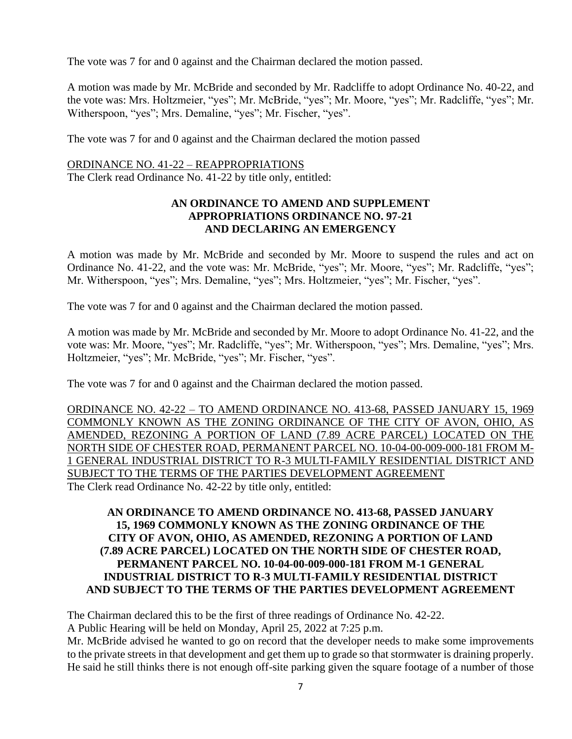The vote was 7 for and 0 against and the Chairman declared the motion passed.

A motion was made by Mr. McBride and seconded by Mr. Radcliffe to adopt Ordinance No. 40-22, and the vote was: Mrs. Holtzmeier, "yes"; Mr. McBride, "yes"; Mr. Moore, "yes"; Mr. Radcliffe, "yes"; Mr. Witherspoon, "yes"; Mrs. Demaline, "yes"; Mr. Fischer, "yes".

The vote was 7 for and 0 against and the Chairman declared the motion passed

#### ORDINANCE NO. 41-22 – REAPPROPRIATIONS

The Clerk read Ordinance No. 41-22 by title only, entitled:

### **AN ORDINANCE TO AMEND AND SUPPLEMENT APPROPRIATIONS ORDINANCE NO. 97-21 AND DECLARING AN EMERGENCY**

A motion was made by Mr. McBride and seconded by Mr. Moore to suspend the rules and act on Ordinance No. 41-22, and the vote was: Mr. McBride, "yes"; Mr. Moore, "yes"; Mr. Radcliffe, "yes"; Mr. Witherspoon, "yes"; Mrs. Demaline, "yes"; Mrs. Holtzmeier, "yes"; Mr. Fischer, "yes".

The vote was 7 for and 0 against and the Chairman declared the motion passed.

A motion was made by Mr. McBride and seconded by Mr. Moore to adopt Ordinance No. 41-22, and the vote was: Mr. Moore, "yes"; Mr. Radcliffe, "yes"; Mr. Witherspoon, "yes"; Mrs. Demaline, "yes"; Mrs. Holtzmeier, "yes"; Mr. McBride, "yes"; Mr. Fischer, "yes".

The vote was 7 for and 0 against and the Chairman declared the motion passed.

ORDINANCE NO. 42-22 – TO AMEND ORDINANCE NO. 413-68, PASSED JANUARY 15, 1969 COMMONLY KNOWN AS THE ZONING ORDINANCE OF THE CITY OF AVON, OHIO, AS AMENDED, REZONING A PORTION OF LAND (7.89 ACRE PARCEL) LOCATED ON THE NORTH SIDE OF CHESTER ROAD, PERMANENT PARCEL NO. 10-04-00-009-000-181 FROM M-1 GENERAL INDUSTRIAL DISTRICT TO R-3 MULTI-FAMILY RESIDENTIAL DISTRICT AND SUBJECT TO THE TERMS OF THE PARTIES DEVELOPMENT AGREEMENT The Clerk read Ordinance No. 42-22 by title only, entitled:

# **AN ORDINANCE TO AMEND ORDINANCE NO. 413-68, PASSED JANUARY 15, 1969 COMMONLY KNOWN AS THE ZONING ORDINANCE OF THE CITY OF AVON, OHIO, AS AMENDED, REZONING A PORTION OF LAND (7.89 ACRE PARCEL) LOCATED ON THE NORTH SIDE OF CHESTER ROAD, PERMANENT PARCEL NO. 10-04-00-009-000-181 FROM M-1 GENERAL INDUSTRIAL DISTRICT TO R-3 MULTI-FAMILY RESIDENTIAL DISTRICT AND SUBJECT TO THE TERMS OF THE PARTIES DEVELOPMENT AGREEMENT**

The Chairman declared this to be the first of three readings of Ordinance No. 42-22. A Public Hearing will be held on Monday, April 25, 2022 at 7:25 p.m.

Mr. McBride advised he wanted to go on record that the developer needs to make some improvements to the private streets in that development and get them up to grade so that stormwater is draining properly. He said he still thinks there is not enough off-site parking given the square footage of a number of those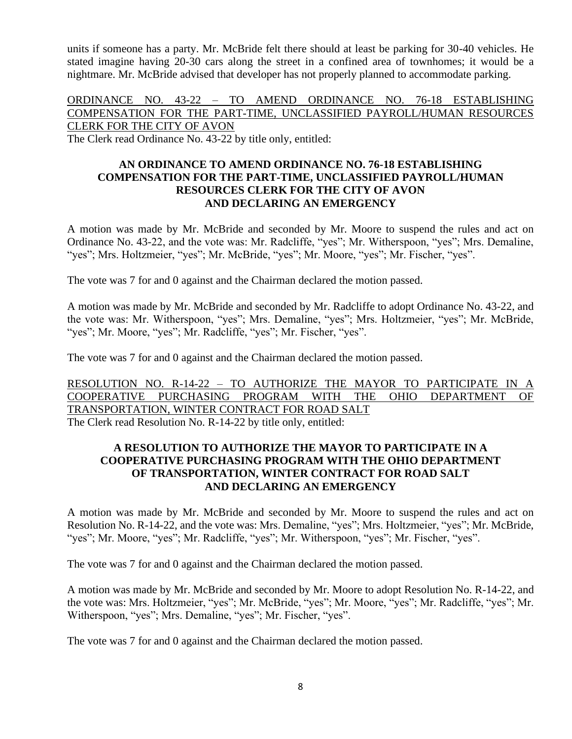units if someone has a party. Mr. McBride felt there should at least be parking for 30-40 vehicles. He stated imagine having 20-30 cars along the street in a confined area of townhomes; it would be a nightmare. Mr. McBride advised that developer has not properly planned to accommodate parking.

ORDINANCE NO. 43-22 – TO AMEND ORDINANCE NO. 76-18 ESTABLISHING COMPENSATION FOR THE PART-TIME, UNCLASSIFIED PAYROLL/HUMAN RESOURCES CLERK FOR THE CITY OF AVON

The Clerk read Ordinance No. 43-22 by title only, entitled:

### **AN ORDINANCE TO AMEND ORDINANCE NO. 76-18 ESTABLISHING COMPENSATION FOR THE PART-TIME, UNCLASSIFIED PAYROLL/HUMAN RESOURCES CLERK FOR THE CITY OF AVON AND DECLARING AN EMERGENCY**

A motion was made by Mr. McBride and seconded by Mr. Moore to suspend the rules and act on Ordinance No. 43-22, and the vote was: Mr. Radcliffe, "yes"; Mr. Witherspoon, "yes"; Mrs. Demaline, "yes"; Mrs. Holtzmeier, "yes"; Mr. McBride, "yes"; Mr. Moore, "yes"; Mr. Fischer, "yes".

The vote was 7 for and 0 against and the Chairman declared the motion passed.

A motion was made by Mr. McBride and seconded by Mr. Radcliffe to adopt Ordinance No. 43-22, and the vote was: Mr. Witherspoon, "yes"; Mrs. Demaline, "yes"; Mrs. Holtzmeier, "yes"; Mr. McBride, "yes"; Mr. Moore, "yes"; Mr. Radcliffe, "yes"; Mr. Fischer, "yes".

The vote was 7 for and 0 against and the Chairman declared the motion passed.

RESOLUTION NO. R-14-22 – TO AUTHORIZE THE MAYOR TO PARTICIPATE IN A COOPERATIVE PURCHASING PROGRAM WITH THE OHIO DEPARTMENT OF TRANSPORTATION, WINTER CONTRACT FOR ROAD SALT The Clerk read Resolution No. R-14-22 by title only, entitled:

# **A RESOLUTION TO AUTHORIZE THE MAYOR TO PARTICIPATE IN A COOPERATIVE PURCHASING PROGRAM WITH THE OHIO DEPARTMENT OF TRANSPORTATION, WINTER CONTRACT FOR ROAD SALT AND DECLARING AN EMERGENCY**

A motion was made by Mr. McBride and seconded by Mr. Moore to suspend the rules and act on Resolution No. R-14-22, and the vote was: Mrs. Demaline, "yes"; Mrs. Holtzmeier, "yes"; Mr. McBride, "yes"; Mr. Moore, "yes"; Mr. Radcliffe, "yes"; Mr. Witherspoon, "yes"; Mr. Fischer, "yes".

The vote was 7 for and 0 against and the Chairman declared the motion passed.

A motion was made by Mr. McBride and seconded by Mr. Moore to adopt Resolution No. R-14-22, and the vote was: Mrs. Holtzmeier, "yes"; Mr. McBride, "yes"; Mr. Moore, "yes"; Mr. Radcliffe, "yes"; Mr. Witherspoon, "yes"; Mrs. Demaline, "yes"; Mr. Fischer, "yes".

The vote was 7 for and 0 against and the Chairman declared the motion passed.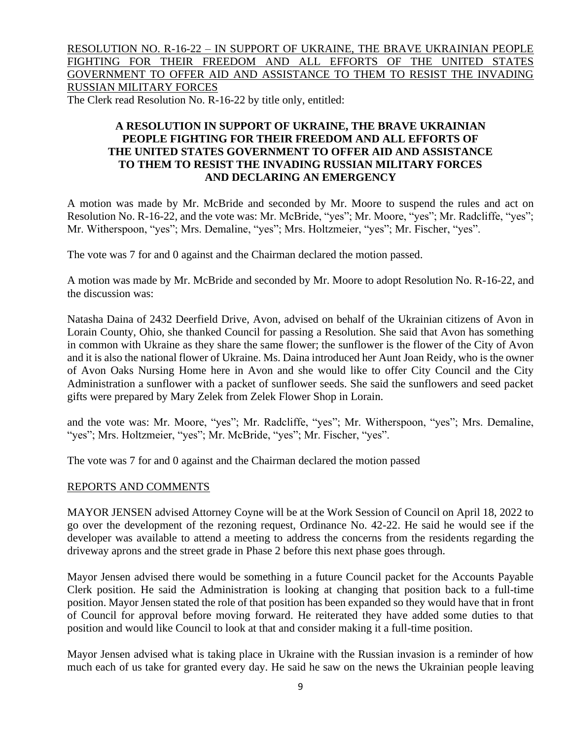RESOLUTION NO. R-16-22 – IN SUPPORT OF UKRAINE, THE BRAVE UKRAINIAN PEOPLE FIGHTING FOR THEIR FREEDOM AND ALL EFFORTS OF THE UNITED STATES GOVERNMENT TO OFFER AID AND ASSISTANCE TO THEM TO RESIST THE INVADING RUSSIAN MILITARY FORCES

The Clerk read Resolution No. R-16-22 by title only, entitled:

# **A RESOLUTION IN SUPPORT OF UKRAINE, THE BRAVE UKRAINIAN PEOPLE FIGHTING FOR THEIR FREEDOM AND ALL EFFORTS OF THE UNITED STATES GOVERNMENT TO OFFER AID AND ASSISTANCE TO THEM TO RESIST THE INVADING RUSSIAN MILITARY FORCES AND DECLARING AN EMERGENCY**

A motion was made by Mr. McBride and seconded by Mr. Moore to suspend the rules and act on Resolution No. R-16-22, and the vote was: Mr. McBride, "yes"; Mr. Moore, "yes"; Mr. Radcliffe, "yes"; Mr. Witherspoon, "yes"; Mrs. Demaline, "yes"; Mrs. Holtzmeier, "yes"; Mr. Fischer, "yes".

The vote was 7 for and 0 against and the Chairman declared the motion passed.

A motion was made by Mr. McBride and seconded by Mr. Moore to adopt Resolution No. R-16-22, and the discussion was:

Natasha Daina of 2432 Deerfield Drive, Avon, advised on behalf of the Ukrainian citizens of Avon in Lorain County, Ohio, she thanked Council for passing a Resolution. She said that Avon has something in common with Ukraine as they share the same flower; the sunflower is the flower of the City of Avon and it is also the national flower of Ukraine. Ms. Daina introduced her Aunt Joan Reidy, who is the owner of Avon Oaks Nursing Home here in Avon and she would like to offer City Council and the City Administration a sunflower with a packet of sunflower seeds. She said the sunflowers and seed packet gifts were prepared by Mary Zelek from Zelek Flower Shop in Lorain.

and the vote was: Mr. Moore, "yes"; Mr. Radcliffe, "yes"; Mr. Witherspoon, "yes"; Mrs. Demaline, "yes"; Mrs. Holtzmeier, "yes"; Mr. McBride, "yes"; Mr. Fischer, "yes".

The vote was 7 for and 0 against and the Chairman declared the motion passed

### REPORTS AND COMMENTS

MAYOR JENSEN advised Attorney Coyne will be at the Work Session of Council on April 18, 2022 to go over the development of the rezoning request, Ordinance No. 42-22. He said he would see if the developer was available to attend a meeting to address the concerns from the residents regarding the driveway aprons and the street grade in Phase 2 before this next phase goes through.

Mayor Jensen advised there would be something in a future Council packet for the Accounts Payable Clerk position. He said the Administration is looking at changing that position back to a full-time position. Mayor Jensen stated the role of that position has been expanded so they would have that in front of Council for approval before moving forward. He reiterated they have added some duties to that position and would like Council to look at that and consider making it a full-time position.

Mayor Jensen advised what is taking place in Ukraine with the Russian invasion is a reminder of how much each of us take for granted every day. He said he saw on the news the Ukrainian people leaving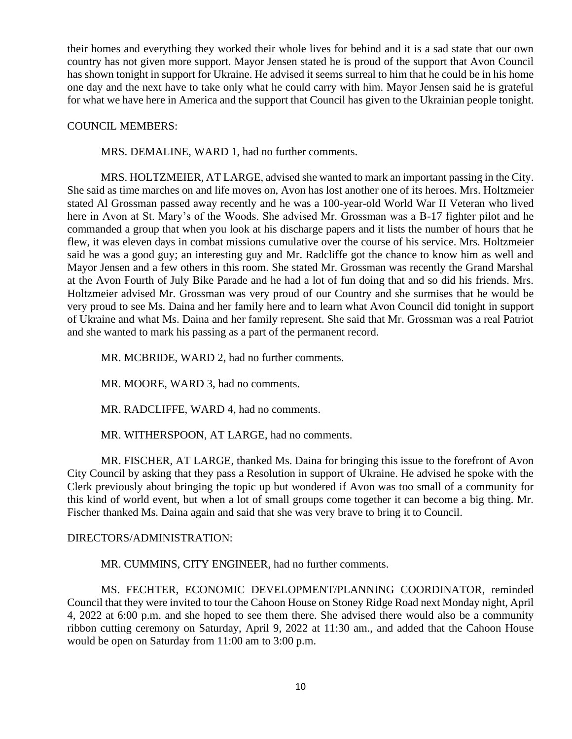their homes and everything they worked their whole lives for behind and it is a sad state that our own country has not given more support. Mayor Jensen stated he is proud of the support that Avon Council has shown tonight in support for Ukraine. He advised it seems surreal to him that he could be in his home one day and the next have to take only what he could carry with him. Mayor Jensen said he is grateful for what we have here in America and the support that Council has given to the Ukrainian people tonight.

#### COUNCIL MEMBERS:

MRS. DEMALINE, WARD 1, had no further comments.

MRS. HOLTZMEIER, AT LARGE, advised she wanted to mark an important passing in the City. She said as time marches on and life moves on, Avon has lost another one of its heroes. Mrs. Holtzmeier stated Al Grossman passed away recently and he was a 100-year-old World War II Veteran who lived here in Avon at St. Mary's of the Woods. She advised Mr. Grossman was a B-17 fighter pilot and he commanded a group that when you look at his discharge papers and it lists the number of hours that he flew, it was eleven days in combat missions cumulative over the course of his service. Mrs. Holtzmeier said he was a good guy; an interesting guy and Mr. Radcliffe got the chance to know him as well and Mayor Jensen and a few others in this room. She stated Mr. Grossman was recently the Grand Marshal at the Avon Fourth of July Bike Parade and he had a lot of fun doing that and so did his friends. Mrs. Holtzmeier advised Mr. Grossman was very proud of our Country and she surmises that he would be very proud to see Ms. Daina and her family here and to learn what Avon Council did tonight in support of Ukraine and what Ms. Daina and her family represent. She said that Mr. Grossman was a real Patriot and she wanted to mark his passing as a part of the permanent record.

MR. MCBRIDE, WARD 2, had no further comments.

MR. MOORE, WARD 3, had no comments.

MR. RADCLIFFE, WARD 4, had no comments.

MR. WITHERSPOON, AT LARGE, had no comments.

MR. FISCHER, AT LARGE, thanked Ms. Daina for bringing this issue to the forefront of Avon City Council by asking that they pass a Resolution in support of Ukraine. He advised he spoke with the Clerk previously about bringing the topic up but wondered if Avon was too small of a community for this kind of world event, but when a lot of small groups come together it can become a big thing. Mr. Fischer thanked Ms. Daina again and said that she was very brave to bring it to Council.

#### DIRECTORS/ADMINISTRATION:

MR. CUMMINS, CITY ENGINEER, had no further comments.

MS. FECHTER, ECONOMIC DEVELOPMENT/PLANNING COORDINATOR, reminded Council that they were invited to tour the Cahoon House on Stoney Ridge Road next Monday night, April 4, 2022 at 6:00 p.m. and she hoped to see them there. She advised there would also be a community ribbon cutting ceremony on Saturday, April 9, 2022 at 11:30 am., and added that the Cahoon House would be open on Saturday from 11:00 am to 3:00 p.m.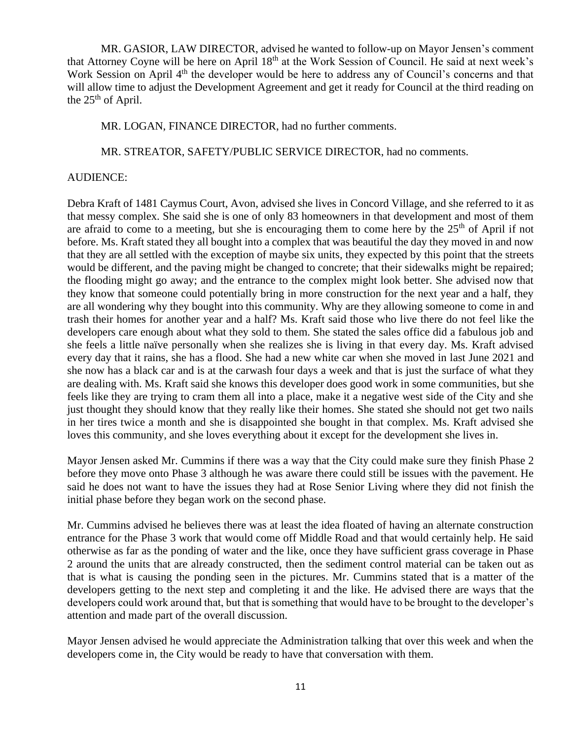MR. GASIOR, LAW DIRECTOR, advised he wanted to follow-up on Mayor Jensen's comment that Attorney Coyne will be here on April 18<sup>th</sup> at the Work Session of Council. He said at next week's Work Session on April 4<sup>th</sup> the developer would be here to address any of Council's concerns and that will allow time to adjust the Development Agreement and get it ready for Council at the third reading on the  $25<sup>th</sup>$  of April.

MR. LOGAN, FINANCE DIRECTOR, had no further comments.

MR. STREATOR, SAFETY/PUBLIC SERVICE DIRECTOR, had no comments.

### AUDIENCE:

Debra Kraft of 1481 Caymus Court, Avon, advised she lives in Concord Village, and she referred to it as that messy complex. She said she is one of only 83 homeowners in that development and most of them are afraid to come to a meeting, but she is encouraging them to come here by the  $25<sup>th</sup>$  of April if not before. Ms. Kraft stated they all bought into a complex that was beautiful the day they moved in and now that they are all settled with the exception of maybe six units, they expected by this point that the streets would be different, and the paving might be changed to concrete; that their sidewalks might be repaired; the flooding might go away; and the entrance to the complex might look better. She advised now that they know that someone could potentially bring in more construction for the next year and a half, they are all wondering why they bought into this community. Why are they allowing someone to come in and trash their homes for another year and a half? Ms. Kraft said those who live there do not feel like the developers care enough about what they sold to them. She stated the sales office did a fabulous job and she feels a little naïve personally when she realizes she is living in that every day. Ms. Kraft advised every day that it rains, she has a flood. She had a new white car when she moved in last June 2021 and she now has a black car and is at the carwash four days a week and that is just the surface of what they are dealing with. Ms. Kraft said she knows this developer does good work in some communities, but she feels like they are trying to cram them all into a place, make it a negative west side of the City and she just thought they should know that they really like their homes. She stated she should not get two nails in her tires twice a month and she is disappointed she bought in that complex. Ms. Kraft advised she loves this community, and she loves everything about it except for the development she lives in.

Mayor Jensen asked Mr. Cummins if there was a way that the City could make sure they finish Phase 2 before they move onto Phase 3 although he was aware there could still be issues with the pavement. He said he does not want to have the issues they had at Rose Senior Living where they did not finish the initial phase before they began work on the second phase.

Mr. Cummins advised he believes there was at least the idea floated of having an alternate construction entrance for the Phase 3 work that would come off Middle Road and that would certainly help. He said otherwise as far as the ponding of water and the like, once they have sufficient grass coverage in Phase 2 around the units that are already constructed, then the sediment control material can be taken out as that is what is causing the ponding seen in the pictures. Mr. Cummins stated that is a matter of the developers getting to the next step and completing it and the like. He advised there are ways that the developers could work around that, but that is something that would have to be brought to the developer's attention and made part of the overall discussion.

Mayor Jensen advised he would appreciate the Administration talking that over this week and when the developers come in, the City would be ready to have that conversation with them.